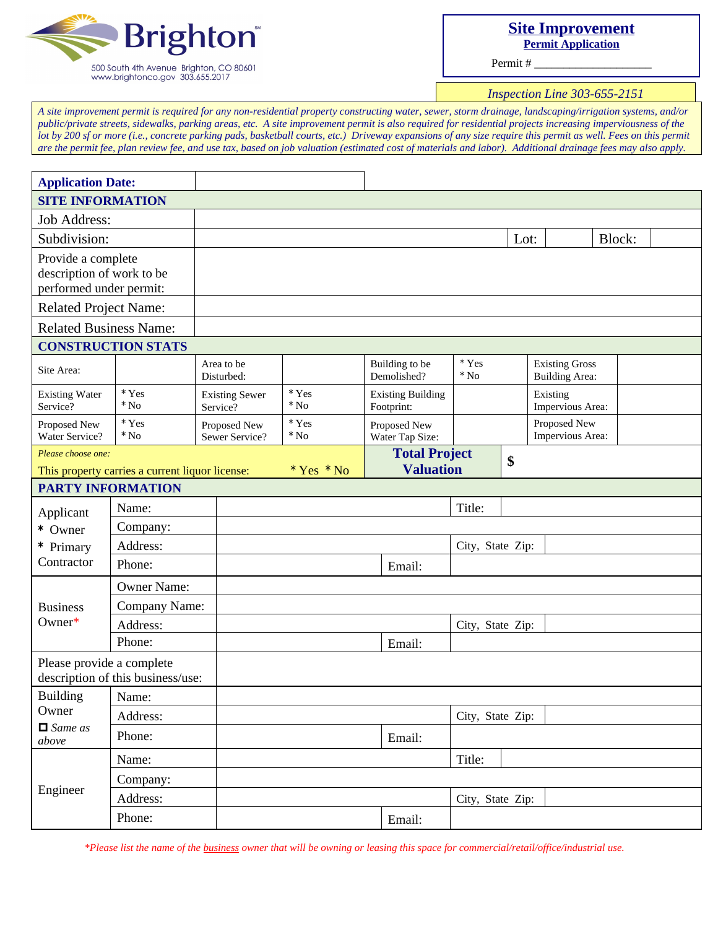

## **Site Improvement Permit Application**

Permit #

*Inspection Line 303-655-2151*

*A site improvement permit is required for any non-residential property constructing water, sewer, storm drainage, landscaping/irrigation systems, and/or public/private streets, sidewalks, parking areas, etc. A site improvement permit is also required for residential projects increasing imperviousness of the lot by 200 sf or more (i.e., concrete parking pads, basketball courts, etc.) Driveway expansions of any size require this permit as well. Fees on this permit are the permit fee, plan review fee, and use tax, based on job valuation (estimated cost of materials and labor). Additional drainage fees may also apply.*

| <b>Application Date:</b>                                                   |                                                 |                                   |                             |                                        |                                  |                                                |  |        |  |
|----------------------------------------------------------------------------|-------------------------------------------------|-----------------------------------|-----------------------------|----------------------------------------|----------------------------------|------------------------------------------------|--|--------|--|
| <b>SITE INFORMATION</b>                                                    |                                                 |                                   |                             |                                        |                                  |                                                |  |        |  |
| <b>Job Address:</b>                                                        |                                                 |                                   |                             |                                        |                                  |                                                |  |        |  |
| Subdivision:                                                               |                                                 |                                   |                             |                                        |                                  | Lot:                                           |  | Block: |  |
| Provide a complete<br>description of work to be<br>performed under permit: |                                                 |                                   |                             |                                        |                                  |                                                |  |        |  |
| <b>Related Project Name:</b>                                               |                                                 |                                   |                             |                                        |                                  |                                                |  |        |  |
| <b>Related Business Name:</b>                                              |                                                 |                                   |                             |                                        |                                  |                                                |  |        |  |
|                                                                            | <b>CONSTRUCTION STATS</b>                       |                                   |                             |                                        |                                  |                                                |  |        |  |
| Site Area:                                                                 |                                                 | Area to be<br>Disturbed:          |                             | Building to be<br>Demolished?          | $^\star$ Yes<br>$*$ No           | <b>Existing Gross</b><br><b>Building Area:</b> |  |        |  |
| <b>Existing Water</b><br>Service?                                          | $^\star$ Yes<br>$^\star$ No                     | <b>Existing Sewer</b><br>Service? | * Yes<br>$*$ No             | <b>Existing Building</b><br>Footprint: |                                  | Existing<br>Impervious Area:                   |  |        |  |
| Proposed New<br>Water Service?                                             | $^\star$ Yes<br>$^\star$ No                     | Proposed New<br>Sewer Service?    | $^\star$ Yes<br>$^\star$ No | Proposed New<br>Water Tap Size:        | Proposed New<br>Impervious Area: |                                                |  |        |  |
| Please choose one:                                                         |                                                 |                                   |                             | <b>Total Project</b>                   |                                  | \$                                             |  |        |  |
|                                                                            | This property carries a current liquor license: |                                   | $*$ Yes $*$ No              | <b>Valuation</b>                       |                                  |                                                |  |        |  |
| <b>PARTY INFORMATION</b>                                                   |                                                 |                                   |                             |                                        |                                  |                                                |  |        |  |
| Applicant                                                                  | Name:                                           |                                   |                             |                                        | Title:                           |                                                |  |        |  |
| * Owner                                                                    | Company:                                        |                                   |                             |                                        |                                  |                                                |  |        |  |
| * Primary<br>Contractor                                                    | Address:                                        |                                   |                             |                                        | City, State Zip:                 |                                                |  |        |  |
|                                                                            | Phone:                                          |                                   |                             | Email:                                 |                                  |                                                |  |        |  |
|                                                                            | <b>Owner Name:</b>                              |                                   |                             |                                        |                                  |                                                |  |        |  |
| <b>Business</b><br>Owner $*$                                               | Company Name:                                   |                                   |                             |                                        |                                  |                                                |  |        |  |
|                                                                            | Address:                                        |                                   |                             |                                        | City, State Zip:                 |                                                |  |        |  |
|                                                                            | Phone:                                          |                                   |                             | Email:                                 |                                  |                                                |  |        |  |
| Please provide a complete<br>description of this business/use:             |                                                 |                                   |                             |                                        |                                  |                                                |  |        |  |
| <b>Building</b>                                                            | Name:                                           |                                   |                             |                                        |                                  |                                                |  |        |  |
| Owner<br>$\Box$ Same as<br>above                                           | Address:                                        |                                   |                             |                                        | City, State Zip:                 |                                                |  |        |  |
|                                                                            | Phone:                                          |                                   |                             | Email:                                 |                                  |                                                |  |        |  |
| Engineer                                                                   | Name:                                           |                                   |                             |                                        | Title:                           |                                                |  |        |  |
|                                                                            | Company:                                        |                                   |                             |                                        |                                  |                                                |  |        |  |
|                                                                            | Address:                                        |                                   |                             |                                        | City, State Zip:                 |                                                |  |        |  |
|                                                                            | Phone:                                          |                                   |                             | Email:                                 |                                  |                                                |  |        |  |

*\*Please list the name of the business owner that will be owning or leasing this space for commercial/retail/office/industrial use.*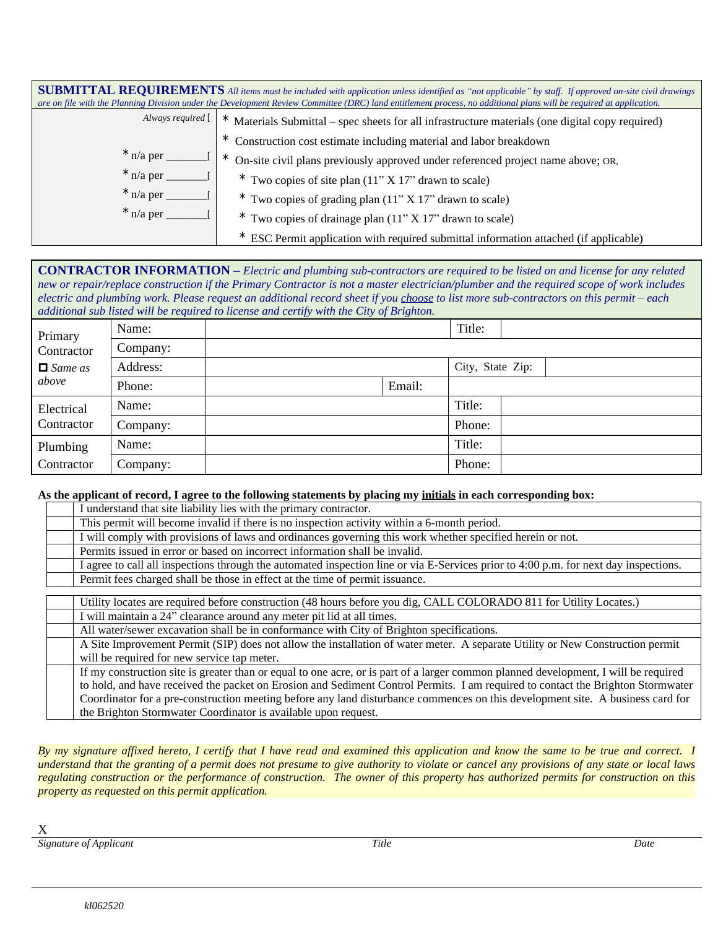|                                          | <b>SUBMITTAL REQUIREMENTS</b> All items must be included with application unless identified as "not applicable" by staff. If approved on-site civil drawings<br>are on file with the Planning Division under the Development Review Committee (DRC) land entitlement process, no additional plans will be required at application. |
|------------------------------------------|------------------------------------------------------------------------------------------------------------------------------------------------------------------------------------------------------------------------------------------------------------------------------------------------------------------------------------|
| Always required [                        | Materials Submittal – spec sheets for all infrastructure materials (one digital copy required)                                                                                                                                                                                                                                     |
|                                          | Construction cost estimate including material and labor breakdown<br>$\star$                                                                                                                                                                                                                                                       |
| $\star$ n/a per $\overline{\phantom{a}}$ | On-site civil plans previously approved under referenced project name above; OR,                                                                                                                                                                                                                                                   |
| $*$ n/a per                              | $*$ Two copies of site plan $(11" X 17"$ drawn to scale)                                                                                                                                                                                                                                                                           |
| $*$ n/a per                              | $*$ Two copies of grading plan $(11" X 17"$ drawn to scale)                                                                                                                                                                                                                                                                        |
| $*$ n/a per $\_\_$                       | $*$ Two copies of drainage plan $(11" X 17"$ drawn to scale)                                                                                                                                                                                                                                                                       |
|                                          | ESC Permit application with required submittal information attached (if applicable)                                                                                                                                                                                                                                                |

## **CONTRACTOR INFORMATION –** *Electric and plumbing sub-contractors are required to be listed on and license for any related new or repair/replace construction if the Primary Contractor is not a master electrician/plumber and the required scope of work includes electric and plumbing work. Please request an additional record sheet if you choose to list more sub-contractors on this permit – each additional sub listed will be required to license and certify with the City of Brighton.*

|                                                  |          | $\sim$ $\sim$ | $\sim$ $\sim$ $\sim$ |                  |  |
|--------------------------------------------------|----------|---------------|----------------------|------------------|--|
| Primary<br>Contractor<br>$\Box$ Same as<br>above | Name:    |               |                      | Title:           |  |
|                                                  | Company: |               |                      |                  |  |
|                                                  | Address: |               |                      | City, State Zip: |  |
|                                                  | Phone:   |               | Email:               |                  |  |
| Electrical<br>Contractor                         | Name:    |               |                      | Title:           |  |
|                                                  | Company: |               |                      | Phone:           |  |
| Plumbing<br>Contractor                           | Name:    |               |                      | Title:           |  |
|                                                  | Company: |               |                      | Phone:           |  |

## **As the applicant of record, I agree to the following statements by placing my initials in each corresponding box:**

| As the applicant of record, I agree to the following statements by placing my <u>initials</u> in each corresponding box;             |
|--------------------------------------------------------------------------------------------------------------------------------------|
| I understand that site liability lies with the primary contractor.                                                                   |
| This permit will become invalid if there is no inspection activity within a 6-month period.                                          |
| I will comply with provisions of laws and ordinances governing this work whether specified herein or not.                            |
| Permits issued in error or based on incorrect information shall be invalid.                                                          |
| I agree to call all inspections through the automated inspection line or via E-Services prior to 4:00 p.m. for next day inspections. |
| Permit fees charged shall be those in effect at the time of permit issuance.                                                         |
|                                                                                                                                      |
| Utility locates are required before construction (48 hours before you dig, CALL COLORADO 811 for Utility Locates.)                   |
| I will maintain a 24" clearance around any meter pit lid at all times.                                                               |
| All water/sewer excavation shall be in conformance with City of Brighton specifications.                                             |
| A Site Improvement Permit (SIP) does not allow the installation of water meter. A separate Utility or New Construction permit        |
| will be required for new service tap meter.                                                                                          |
| If my construction site is greater than or equal to one acre, or is part of a larger common planned development, I will be required  |
| to hold, and have received the packet on Erosion and Sediment Control Permits. I am required to contact the Brighton Stormwater      |
| Coordinator for a pre-construction meeting before any land disturbance commences on this development site. A business card for       |
| the Brighton Stormwater Coordinator is available upon request.                                                                       |

By my signature affixed hereto, I certify that I have read and examined this application and know the same to be true and correct. I understand that the granting of a permit does not presume to give authority to violate or cancel any provisions of any state or local laws regulating construction or the performance of construction. The owner of this property has authorized permits for construction on this *property as requested on this permit application.*

X

*Signature of Applicant Title Date*